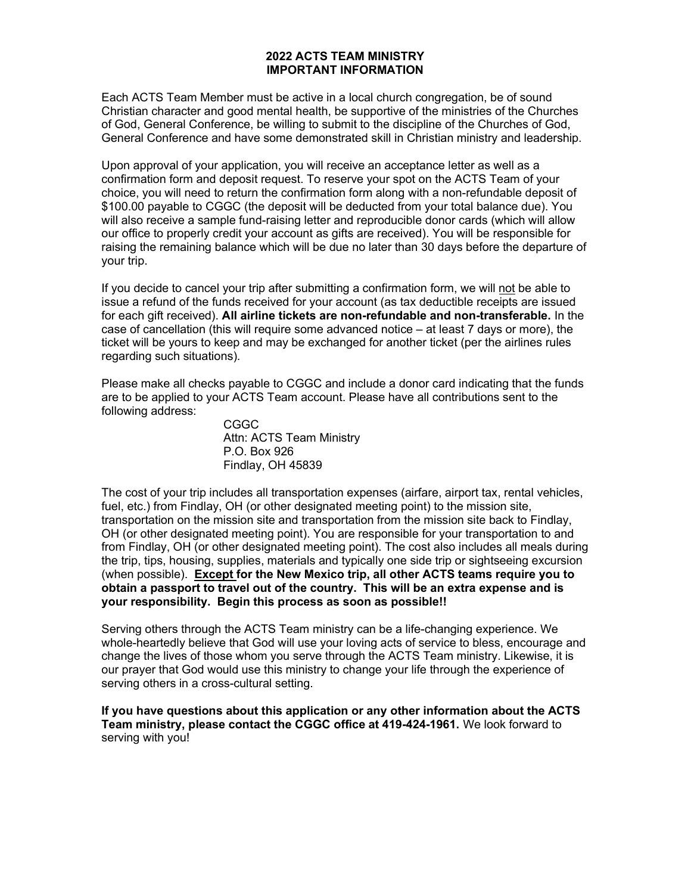#### 2022 ACTS TEAM MINISTRY IMPORTANT INFORMATION

Each ACTS Team Member must be active in a local church congregation, be of sound Christian character and good mental health, be supportive of the ministries of the Churches of God, General Conference, be willing to submit to the discipline of the Churches of God, General Conference and have some demonstrated skill in Christian ministry and leadership.

Upon approval of your application, you will receive an acceptance letter as well as a confirmation form and deposit request. To reserve your spot on the ACTS Team of your choice, you will need to return the confirmation form along with a non-refundable deposit of \$100.00 payable to CGGC (the deposit will be deducted from your total balance due). You will also receive a sample fund-raising letter and reproducible donor cards (which will allow our office to properly credit your account as gifts are received). You will be responsible for raising the remaining balance which will be due no later than 30 days before the departure of your trip.

If you decide to cancel your trip after submitting a confirmation form, we will not be able to issue a refund of the funds received for your account (as tax deductible receipts are issued for each gift received). All airline tickets are non-refundable and non-transferable. In the case of cancellation (this will require some advanced notice – at least 7 days or more), the ticket will be yours to keep and may be exchanged for another ticket (per the airlines rules regarding such situations).

Please make all checks payable to CGGC and include a donor card indicating that the funds are to be applied to your ACTS Team account. Please have all contributions sent to the following address:

> CGGC Attn: ACTS Team Ministry P.O. Box 926 Findlay, OH 45839

The cost of your trip includes all transportation expenses (airfare, airport tax, rental vehicles, fuel, etc.) from Findlay, OH (or other designated meeting point) to the mission site, transportation on the mission site and transportation from the mission site back to Findlay, OH (or other designated meeting point). You are responsible for your transportation to and from Findlay, OH (or other designated meeting point). The cost also includes all meals during the trip, tips, housing, supplies, materials and typically one side trip or sightseeing excursion (when possible). Except for the New Mexico trip, all other ACTS teams require you to obtain a passport to travel out of the country. This will be an extra expense and is your responsibility. Begin this process as soon as possible!!

Serving others through the ACTS Team ministry can be a life-changing experience. We whole-heartedly believe that God will use your loving acts of service to bless, encourage and change the lives of those whom you serve through the ACTS Team ministry. Likewise, it is our prayer that God would use this ministry to change your life through the experience of serving others in a cross-cultural setting.

#### If you have questions about this application or any other information about the ACTS Team ministry, please contact the CGGC office at 419-424-1961. We look forward to serving with you!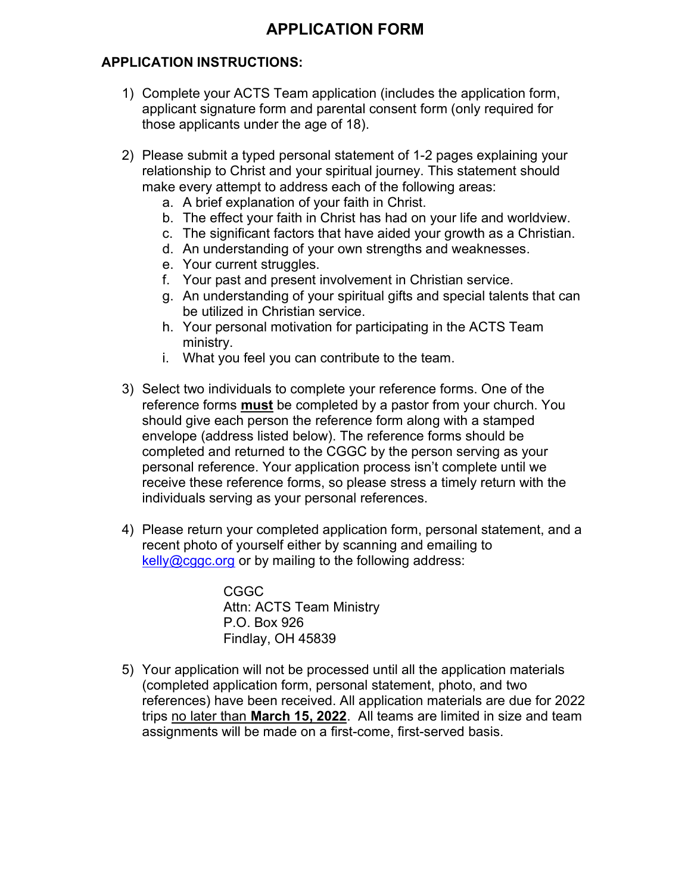# APPLICATION INSTRUCTIONS:

- 1) Complete your ACTS Team application (includes the application form, applicant signature form and parental consent form (only required for those applicants under the age of 18).
- 2) Please submit a typed personal statement of 1-2 pages explaining your relationship to Christ and your spiritual journey. This statement should make every attempt to address each of the following areas:
	- a. A brief explanation of your faith in Christ.
	- b. The effect your faith in Christ has had on your life and worldview.
	- c. The significant factors that have aided your growth as a Christian.
	- d. An understanding of your own strengths and weaknesses.
	- e. Your current struggles.
	- f. Your past and present involvement in Christian service.
	- g. An understanding of your spiritual gifts and special talents that can be utilized in Christian service.
	- h. Your personal motivation for participating in the ACTS Team ministry.
	- i. What you feel you can contribute to the team.
- 3) Select two individuals to complete your reference forms. One of the reference forms **must** be completed by a pastor from your church. You should give each person the reference form along with a stamped envelope (address listed below). The reference forms should be completed and returned to the CGGC by the person serving as your personal reference. Your application process isn't complete until we receive these reference forms, so please stress a timely return with the individuals serving as your personal references.
- 4) Please return your completed application form, personal statement, and a recent photo of yourself either by scanning and emailing to kelly@cggc.org or by mailing to the following address:

CGGC Attn: ACTS Team Ministry P.O. Box 926 Findlay, OH 45839

5) Your application will not be processed until all the application materials (completed application form, personal statement, photo, and two references) have been received. All application materials are due for 2022 trips no later than March 15, 2022. All teams are limited in size and team assignments will be made on a first-come, first-served basis.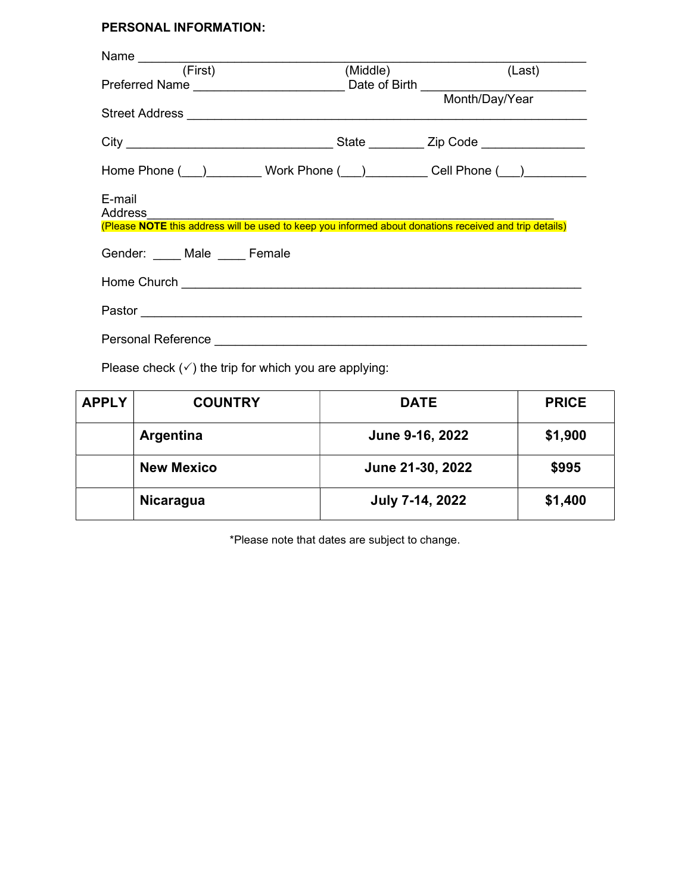# PERSONAL INFORMATION:

| Name $\overline{\phantom{a} \phantom{a}}$                                                                                          |                                   |  |  |
|------------------------------------------------------------------------------------------------------------------------------------|-----------------------------------|--|--|
| (First)                                                                                                                            | (Middle) <b>Example</b><br>(Last) |  |  |
|                                                                                                                                    |                                   |  |  |
|                                                                                                                                    |                                   |  |  |
| Home Phone ( ) Work Phone ( ) Cell Phone ( )                                                                                       |                                   |  |  |
| E-mail<br><b>Address</b><br>(Please NOTE this address will be used to keep you informed about donations received and trip details) |                                   |  |  |
| Gender: Male Female                                                                                                                |                                   |  |  |
|                                                                                                                                    |                                   |  |  |
|                                                                                                                                    |                                   |  |  |
|                                                                                                                                    |                                   |  |  |
| Please check $(\checkmark)$ the trip for which you are applying:                                                                   |                                   |  |  |

| <b>APPLY</b> | <b>COUNTRY</b>    | <b>DATE</b>      | <b>PRICE</b> |
|--------------|-------------------|------------------|--------------|
|              | Argentina         | June 9-16, 2022  | \$1,900      |
|              | <b>New Mexico</b> | June 21-30, 2022 | \$995        |
|              | <b>Nicaragua</b>  | July 7-14, 2022  | \$1,400      |

\*Please note that dates are subject to change.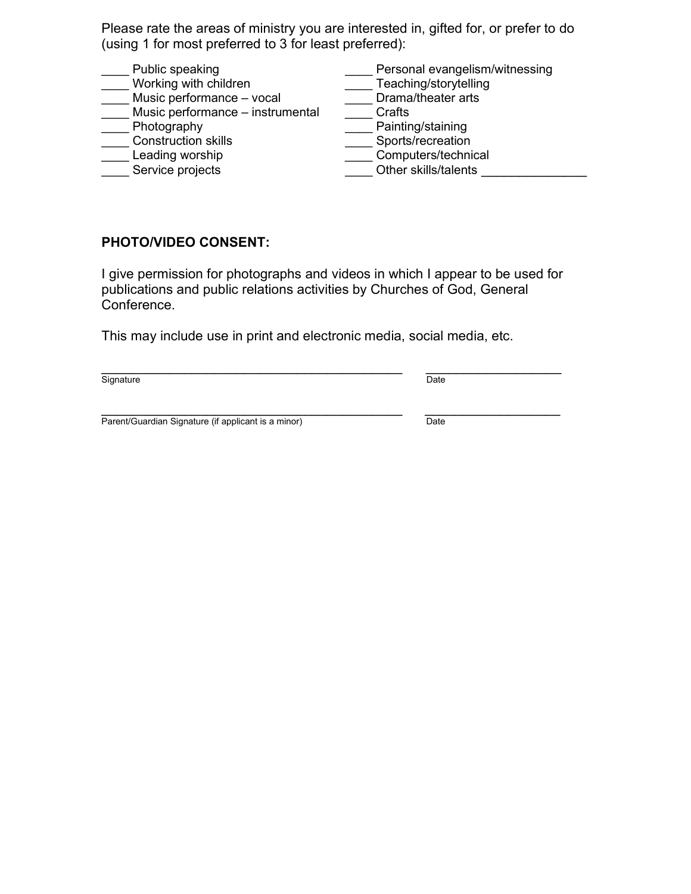Please rate the areas of ministry you are interested in, gifted for, or prefer to do (using 1 for most preferred to 3 for least preferred):

Public speaking example is resonal evangelism/witnessing Working with children <br>Music performance – vocal Drama/theater arts \_\_\_ Music performance – vocal  $\overline{\phantom{a}}$  Drama<br>Music performance – instrumental Crafts  $\overline{\phantom{a}}$  Music performance – instrumental \_\_\_\_ Photography \_\_\_\_ Painting/staining \_\_\_\_ Construction skills \_\_\_\_ Sports/recreation Leading worship example of the Computers/technical Service projects entitled and the State of Other skills/talents and the Service projects and the Service of Se

# PHOTO/VIDEO CONSENT:

I give permission for photographs and videos in which I appear to be used for publications and public relations activities by Churches of God, General Conference.

This may include use in print and electronic media, social media, etc.

Signature Date Date Contract of the Contract of the Date Date Date Date Date

\_\_\_\_\_\_\_\_\_\_\_\_\_\_\_\_\_\_\_\_\_\_\_\_\_\_\_\_\_\_\_\_\_\_\_\_\_\_\_\_ \_\_\_\_\_\_\_\_\_\_\_\_\_\_\_\_\_\_

 $\mathcal{L}_\text{max}$  , and the contract of the contract of the contract of the contract of the contract of the contract of the contract of the contract of the contract of the contract of the contract of the contract of the contr Parent/Guardian Signature (if applicant is a minor) Date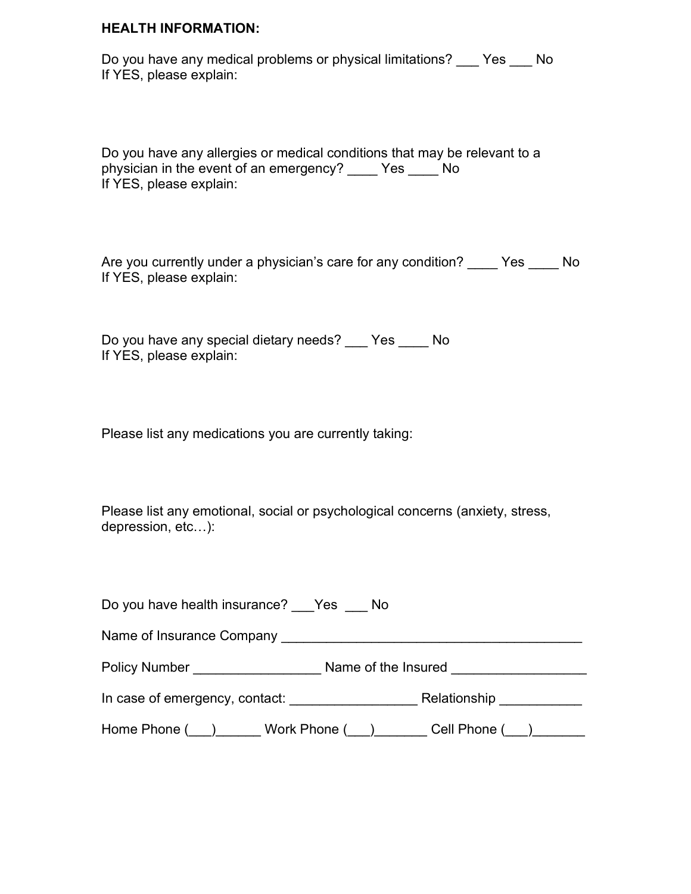#### HEALTH INFORMATION:

Do you have any medical problems or physical limitations? Yes No If YES, please explain:

Do you have any allergies or medical conditions that may be relevant to a physician in the event of an emergency? \_\_\_\_ Yes \_\_\_\_ No If YES, please explain:

Are you currently under a physician's care for any condition? \_\_\_\_ Yes \_\_\_\_ No If YES, please explain:

Do you have any special dietary needs? \_\_\_ Yes \_\_\_\_ No If YES, please explain:

Please list any medications you are currently taking:

Please list any emotional, social or psychological concerns (anxiety, stress, depression, etc…):

| Do you have health insurance? Yes No                       |                          |
|------------------------------------------------------------|--------------------------|
| Name of Insurance Company <b>Name of Insurance Company</b> |                          |
| <b>Policy Number</b>                                       | Name of the Insured      |
| In case of emergency, contact:                             | Relationship ___________ |
| Home Phone () Work Phone ()                                | Cell Phone ( )           |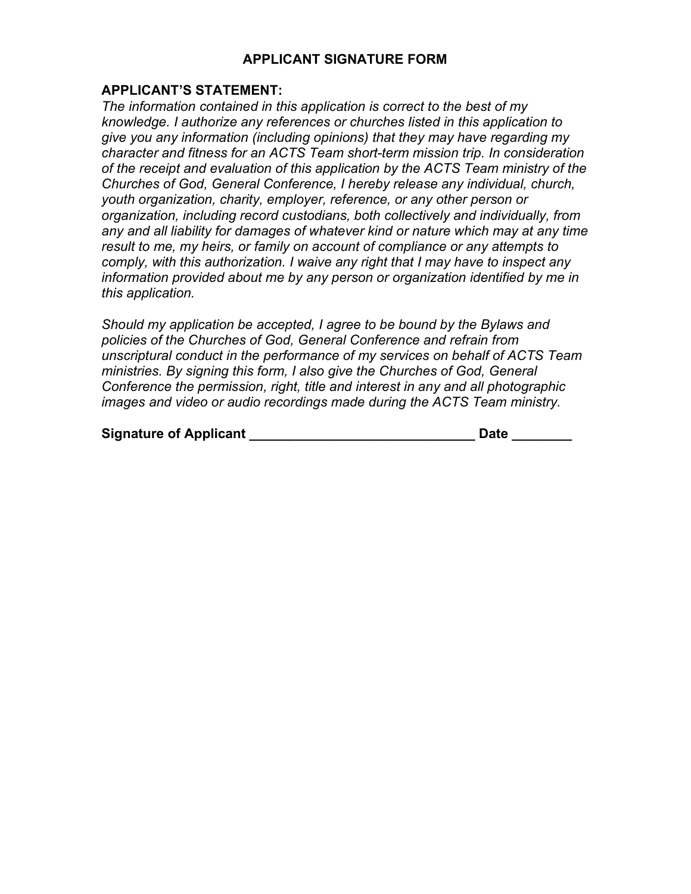### APPLICANT SIGNATURE FORM

### APPLICANT'S STATEMENT:

The information contained in this application is correct to the best of my knowledge. I authorize any references or churches listed in this application to give you any information (including opinions) that they may have regarding my character and fitness for an ACTS Team short-term mission trip. In consideration of the receipt and evaluation of this application by the ACTS Team ministry of the Churches of God, General Conference, I hereby release any individual, church, youth organization, charity, employer, reference, or any other person or organization, including record custodians, both collectively and individually, from any and all liability for damages of whatever kind or nature which may at any time result to me, my heirs, or family on account of compliance or any attempts to comply, with this authorization. I waive any right that I may have to inspect any information provided about me by any person or organization identified by me in this application.

Should my application be accepted, I agree to be bound by the Bylaws and policies of the Churches of God, General Conference and refrain from unscriptural conduct in the performance of my services on behalf of ACTS Team ministries. By signing this form, I also give the Churches of God, General Conference the permission, right, title and interest in any and all photographic images and video or audio recordings made during the ACTS Team ministry.

| <b>Signature of Applicant</b> | <b>Date</b> |
|-------------------------------|-------------|
|-------------------------------|-------------|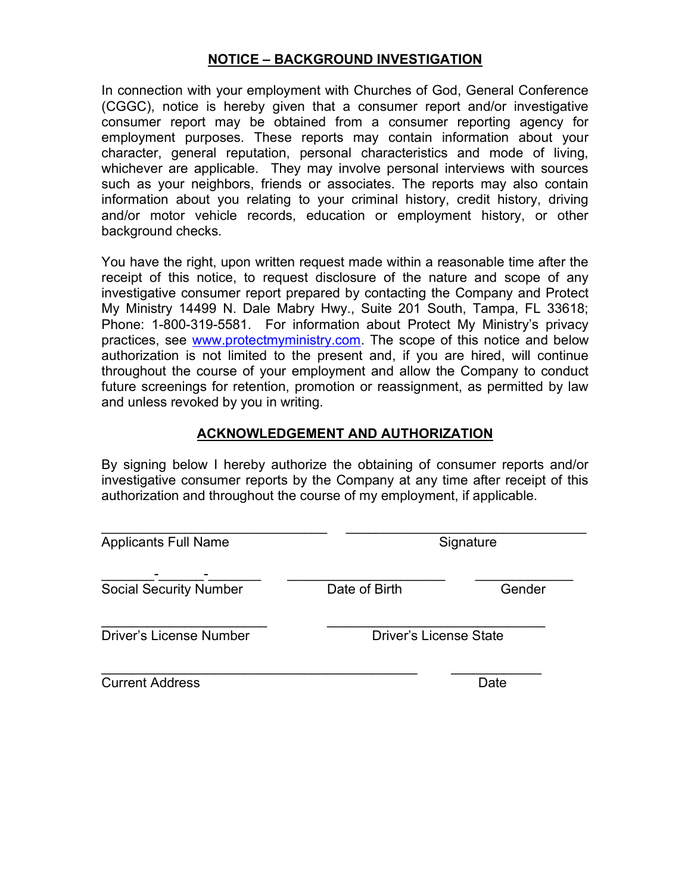## NOTICE – BACKGROUND INVESTIGATION

In connection with your employment with Churches of God, General Conference (CGGC), notice is hereby given that a consumer report and/or investigative consumer report may be obtained from a consumer reporting agency for employment purposes. These reports may contain information about your character, general reputation, personal characteristics and mode of living, whichever are applicable. They may involve personal interviews with sources such as your neighbors, friends or associates. The reports may also contain information about you relating to your criminal history, credit history, driving and/or motor vehicle records, education or employment history, or other background checks.

You have the right, upon written request made within a reasonable time after the receipt of this notice, to request disclosure of the nature and scope of any investigative consumer report prepared by contacting the Company and Protect My Ministry 14499 N. Dale Mabry Hwy., Suite 201 South, Tampa, FL 33618; Phone: 1-800-319-5581. For information about Protect My Ministry's privacy practices, see www.protectmyministry.com. The scope of this notice and below authorization is not limited to the present and, if you are hired, will continue throughout the course of your employment and allow the Company to conduct future screenings for retention, promotion or reassignment, as permitted by law and unless revoked by you in writing.

# ACKNOWLEDGEMENT AND AUTHORIZATION

By signing below I hereby authorize the obtaining of consumer reports and/or investigative consumer reports by the Company at any time after receipt of this authorization and throughout the course of my employment, if applicable.

| <b>Applicants Full Name</b>   | Signature                     |        |
|-------------------------------|-------------------------------|--------|
| <b>Social Security Number</b> | Date of Birth                 | Gender |
| Driver's License Number       | <b>Driver's License State</b> |        |
| <b>Current Address</b>        |                               | Date   |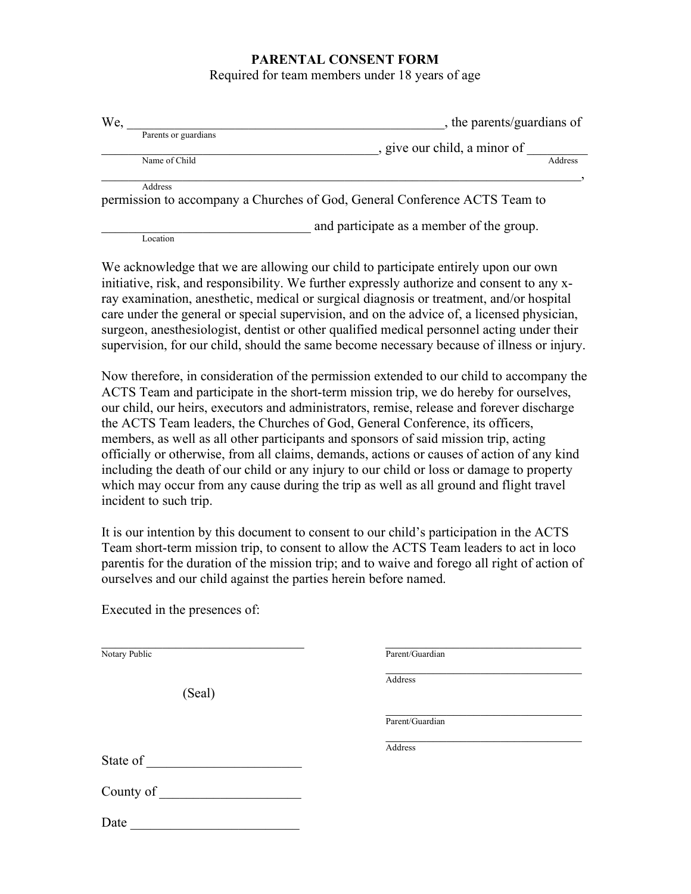#### PARENTAL CONSENT FORM

Required for team members under 18 years of age

| We,                  | , the parents/guardians of                                                 |
|----------------------|----------------------------------------------------------------------------|
| Parents or guardians |                                                                            |
|                      | , give our child, a minor of                                               |
| Name of Child        | Address                                                                    |
|                      |                                                                            |
| Address              |                                                                            |
|                      | permission to accompany a Churches of God, General Conference ACTS Team to |
|                      | and participate as a member of the group.                                  |

Location

Executed in the presences of:

We acknowledge that we are allowing our child to participate entirely upon our own initiative, risk, and responsibility. We further expressly authorize and consent to any xray examination, anesthetic, medical or surgical diagnosis or treatment, and/or hospital care under the general or special supervision, and on the advice of, a licensed physician, surgeon, anesthesiologist, dentist or other qualified medical personnel acting under their supervision, for our child, should the same become necessary because of illness or injury.

Now therefore, in consideration of the permission extended to our child to accompany the ACTS Team and participate in the short-term mission trip, we do hereby for ourselves, our child, our heirs, executors and administrators, remise, release and forever discharge the ACTS Team leaders, the Churches of God, General Conference, its officers, members, as well as all other participants and sponsors of said mission trip, acting officially or otherwise, from all claims, demands, actions or causes of action of any kind including the death of our child or any injury to our child or loss or damage to property which may occur from any cause during the trip as well as all ground and flight travel incident to such trip.

It is our intention by this document to consent to our child's participation in the ACTS Team short-term mission trip, to consent to allow the ACTS Team leaders to act in loco parentis for the duration of the mission trip; and to waive and forego all right of action of ourselves and our child against the parties herein before named.

| Notary Public | Parent/Guardian |  |
|---------------|-----------------|--|
| (Seal)        | Address         |  |
|               | Parent/Guardian |  |
| State of      | Address         |  |
| County of     |                 |  |
| Date          |                 |  |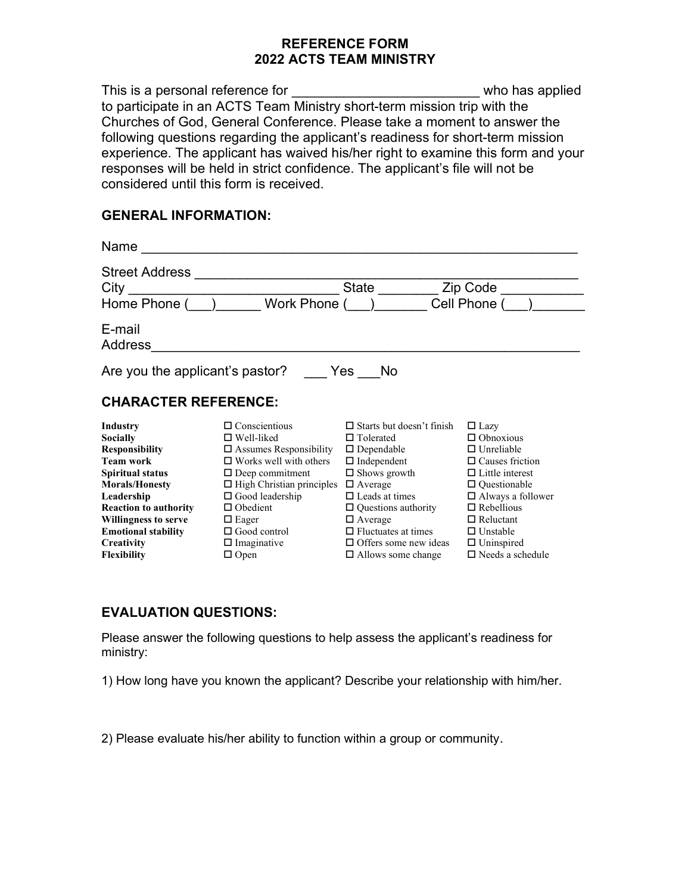### REFERENCE FORM 2022 ACTS TEAM MINISTRY

This is a personal reference for the same of the state of the state of the state of the state of the state of the state of the state of the state of the state of the state of the state of the state of the state of the stat to participate in an ACTS Team Ministry short-term mission trip with the Churches of God, General Conference. Please take a moment to answer the following questions regarding the applicant's readiness for short-term mission experience. The applicant has waived his/her right to examine this form and your responses will be held in strict confidence. The applicant's file will not be considered until this form is received.

#### GENERAL INFORMATION:

| Name                                          |                                  |                                  |                          |
|-----------------------------------------------|----------------------------------|----------------------------------|--------------------------|
| <b>Street Address</b><br>City<br>Home Phone ( | Work Phone (                     | <b>State</b>                     | Zip Code<br>Cell Phone ( |
| E-mail                                        |                                  |                                  |                          |
| Address                                       |                                  |                                  |                          |
| Are you the applicant's pastor?               |                                  | Yes<br>No.                       |                          |
| <b>CHARACTER REFERENCE:</b>                   |                                  |                                  |                          |
| Industry                                      | $\Box$ Conscientious             | $\Box$ Starts but doesn't finish | $\Box$ Lazy              |
| <b>Socially</b>                               | $\Box$ Well-liked                | $\Box$ Tolerated                 | $\Box$ Obnoxious         |
| <b>Responsibility</b>                         | $\Box$ Assumes Responsibility    | $\Box$ Dependable                | $\Box$ Unreliable        |
| <b>Team work</b>                              | $\Box$ Works well with others    | $\Box$ Independent               | $\Box$ Causes friction   |
| Spiritual status                              | $\Box$ Deep commitment           | $\Box$ Shows growth              | $\Box$ Little interest   |
| <b>Morals/Honesty</b>                         | $\Box$ High Christian principles | $\Box$ Average                   | $\Box$ Questionable      |
| Leadership                                    | $\Box$ Good leadership           | $\Box$ Leads at times            | $\Box$ Always a follower |
| <b>Reaction to authority</b>                  | $\Box$ Obedient                  | $\Box$ Questions authority       | $\Box$ Rebellious        |
| <b>Willingness to serve</b>                   | $\Box$ Eager                     | $\Box$ Average                   | $\Box$ Reluctant         |
| <b>Emotional stability</b>                    | $\Box$ Good control              | $\Box$ Fluctuates at times       | $\Box$ Unstable          |
| Creativity                                    | $\Box$ Imaginative               | $\Box$ Offers some new ideas     | $\Box$ Uninspired        |
| <b>Flexibility</b>                            | $\Box$ Open                      | $\Box$ Allows some change        | $\Box$ Needs a schedule  |

## EVALUATION QUESTIONS:

Please answer the following questions to help assess the applicant's readiness for ministry:

1) How long have you known the applicant? Describe your relationship with him/her.

2) Please evaluate his/her ability to function within a group or community.